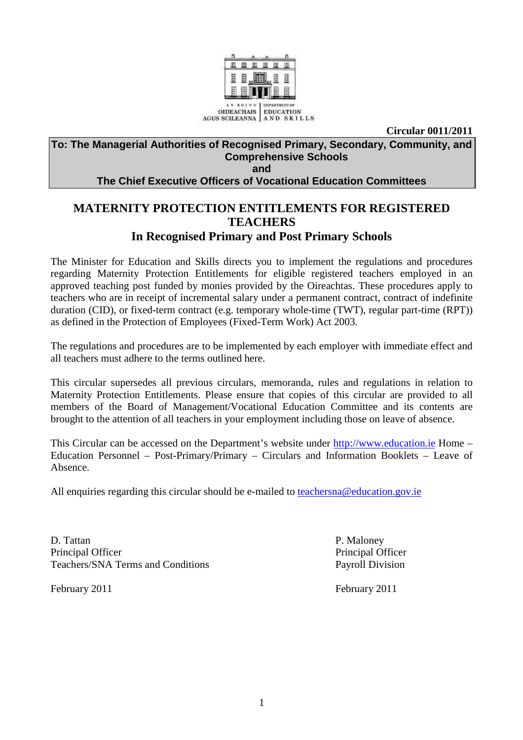

**Circular 0011/2011** 

# **To: The Managerial Authorities of Recognised Primary, Secondary, Community, and Comprehensive Schools**

**and** 

**The Chief Executive Officers of Vocational Education Committees** 

# **MATERNITY PROTECTION ENTITLEMENTS FOR REGISTERED TEACHERS In Recognised Primary and Post Primary Schools**

The Minister for Education and Skills directs you to implement the regulations and procedures regarding Maternity Protection Entitlements for eligible registered teachers employed in an approved teaching post funded by monies provided by the Oireachtas. These procedures apply to teachers who are in receipt of incremental salary under a permanent contract, contract of indefinite duration (CID), or fixed-term contract (e.g. temporary whole-time (TWT), regular part-time (RPT)) as defined in the Protection of Employees (Fixed-Term Work) Act 2003.

The regulations and procedures are to be implemented by each employer with immediate effect and all teachers must adhere to the terms outlined here.

This circular supersedes all previous circulars, memoranda, rules and regulations in relation to Maternity Protection Entitlements. Please ensure that copies of this circular are provided to all members of the Board of Management/Vocational Education Committee and its contents are brought to the attention of all teachers in your employment including those on leave of absence.

This Circular can be accessed on the Department's website under http://www.education.ie Home – Education Personnel – Post-Primary/Primary – Circulars and Information Booklets – Leave of Absence.

All enquiries regarding this circular should be e-mailed to teachersna@education.gov.ie

D. Tattan P. Maloney Principal Officer Principal Officer Teachers/SNA Terms and Conditions Payroll Division

February 2011 February 2011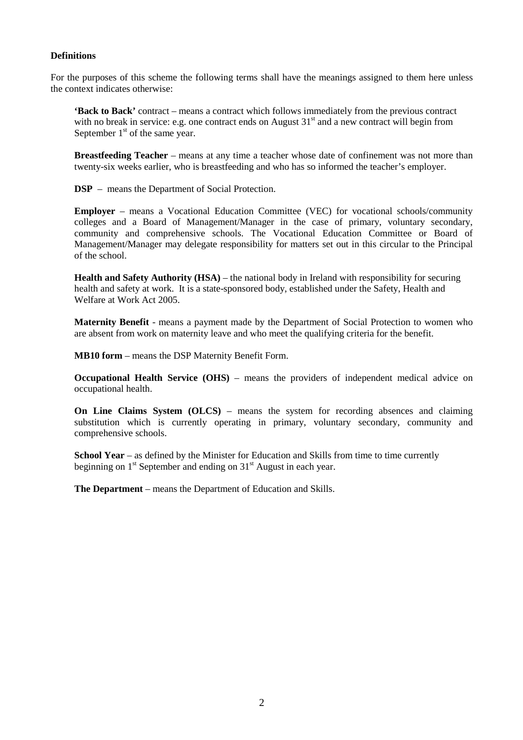#### **Definitions**

For the purposes of this scheme the following terms shall have the meanings assigned to them here unless the context indicates otherwise:

**'Back to Back'** contract – means a contract which follows immediately from the previous contract with no break in service: e.g. one contract ends on August  $31<sup>st</sup>$  and a new contract will begin from September  $1<sup>st</sup>$  of the same year.

**Breastfeeding Teacher** – means at any time a teacher whose date of confinement was not more than twenty-six weeks earlier, who is breastfeeding and who has so informed the teacher's employer.

**DSP** – means the Department of Social Protection.

**Employer** – means a Vocational Education Committee (VEC) for vocational schools/community colleges and a Board of Management/Manager in the case of primary, voluntary secondary, community and comprehensive schools. The Vocational Education Committee or Board of Management/Manager may delegate responsibility for matters set out in this circular to the Principal of the school.

**Health and Safety Authority (HSA)** – the national body in Ireland with responsibility for securing health and safety at work. It is a state-sponsored body, established under the Safety, Health and Welfare at Work Act 2005.

**Maternity Benefit** - means a payment made by the Department of Social Protection to women who are absent from work on maternity leave and who meet the qualifying criteria for the benefit.

**MB10 form** – means the DSP Maternity Benefit Form.

**Occupational Health Service (OHS)** – means the providers of independent medical advice on occupational health.

**On Line Claims System (OLCS)** – means the system for recording absences and claiming substitution which is currently operating in primary, voluntary secondary, community and comprehensive schools.

**School Year** – as defined by the Minister for Education and Skills from time to time currently beginning on  $1<sup>st</sup>$  September and ending on  $31<sup>st</sup>$  August in each year.

**The Department** – means the Department of Education and Skills.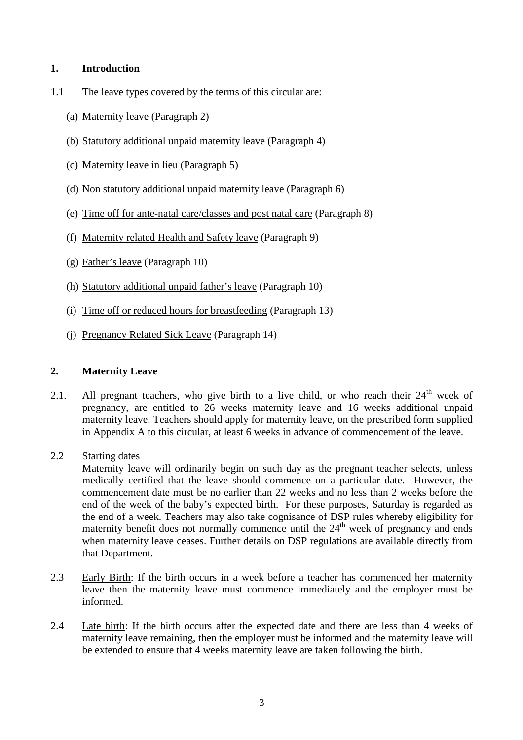## **1. Introduction**

- 1.1 The leave types covered by the terms of this circular are:
	- (a) Maternity leave (Paragraph 2)
	- (b) Statutory additional unpaid maternity leave (Paragraph 4)
	- (c) Maternity leave in lieu (Paragraph 5)
	- (d) Non statutory additional unpaid maternity leave (Paragraph 6)
	- (e) Time off for ante-natal care/classes and post natal care (Paragraph 8)
	- (f) Maternity related Health and Safety leave (Paragraph 9)
	- (g) Father's leave (Paragraph 10)
	- (h) Statutory additional unpaid father's leave (Paragraph 10)
	- (i) Time off or reduced hours for breastfeeding (Paragraph 13)
	- (j) Pregnancy Related Sick Leave (Paragraph 14)

#### **2. Maternity Leave**

- 2.1. All pregnant teachers, who give birth to a live child, or who reach their  $24<sup>th</sup>$  week of pregnancy, are entitled to 26 weeks maternity leave and 16 weeks additional unpaid maternity leave. Teachers should apply for maternity leave, on the prescribed form supplied in Appendix A to this circular, at least 6 weeks in advance of commencement of the leave.
- 2.2 Starting dates

 Maternity leave will ordinarily begin on such day as the pregnant teacher selects, unless medically certified that the leave should commence on a particular date. However, the commencement date must be no earlier than 22 weeks and no less than 2 weeks before the end of the week of the baby's expected birth. For these purposes, Saturday is regarded as the end of a week. Teachers may also take cognisance of DSP rules whereby eligibility for maternity benefit does not normally commence until the  $24<sup>th</sup>$  week of pregnancy and ends when maternity leave ceases. Further details on DSP regulations are available directly from that Department.

- 2.3 Early Birth: If the birth occurs in a week before a teacher has commenced her maternity leave then the maternity leave must commence immediately and the employer must be informed.
- 2.4 Late birth: If the birth occurs after the expected date and there are less than 4 weeks of maternity leave remaining, then the employer must be informed and the maternity leave will be extended to ensure that 4 weeks maternity leave are taken following the birth.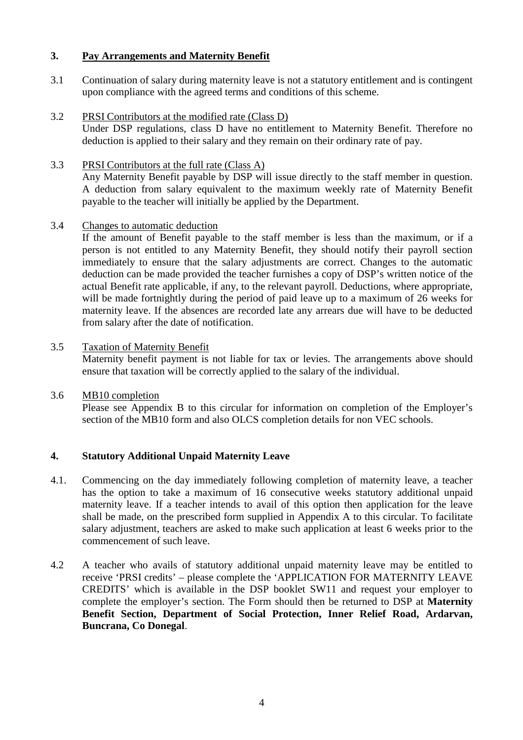## **3. Pay Arrangements and Maternity Benefit**

- 3.1 Continuation of salary during maternity leave is not a statutory entitlement and is contingent upon compliance with the agreed terms and conditions of this scheme.
- 3.2 PRSI Contributors at the modified rate (Class D)

 Under DSP regulations, class D have no entitlement to Maternity Benefit. Therefore no deduction is applied to their salary and they remain on their ordinary rate of pay.

3.3 PRSI Contributors at the full rate (Class A)

Any Maternity Benefit payable by DSP will issue directly to the staff member in question. A deduction from salary equivalent to the maximum weekly rate of Maternity Benefit payable to the teacher will initially be applied by the Department.

#### 3.4 Changes to automatic deduction

If the amount of Benefit payable to the staff member is less than the maximum, or if a person is not entitled to any Maternity Benefit, they should notify their payroll section immediately to ensure that the salary adjustments are correct. Changes to the automatic deduction can be made provided the teacher furnishes a copy of DSP's written notice of the actual Benefit rate applicable, if any, to the relevant payroll. Deductions, where appropriate, will be made fortnightly during the period of paid leave up to a maximum of 26 weeks for maternity leave. If the absences are recorded late any arrears due will have to be deducted from salary after the date of notification.

- 3.5 Taxation of Maternity Benefit Maternity benefit payment is not liable for tax or levies. The arrangements above should ensure that taxation will be correctly applied to the salary of the individual.
- 3.6 MB10 completion Please see Appendix B to this circular for information on completion of the Employer's section of the MB10 form and also OLCS completion details for non VEC schools.

## **4. Statutory Additional Unpaid Maternity Leave**

- 4.1. Commencing on the day immediately following completion of maternity leave, a teacher has the option to take a maximum of 16 consecutive weeks statutory additional unpaid maternity leave. If a teacher intends to avail of this option then application for the leave shall be made, on the prescribed form supplied in Appendix A to this circular. To facilitate salary adjustment, teachers are asked to make such application at least 6 weeks prior to the commencement of such leave.
- 4.2 A teacher who avails of statutory additional unpaid maternity leave may be entitled to receive 'PRSI credits' – please complete the 'APPLICATION FOR MATERNITY LEAVE CREDITS' which is available in the DSP booklet SW11 and request your employer to complete the employer's section. The Form should then be returned to DSP at **Maternity Benefit Section, Department of Social Protection, Inner Relief Road, Ardarvan, Buncrana, Co Donegal**.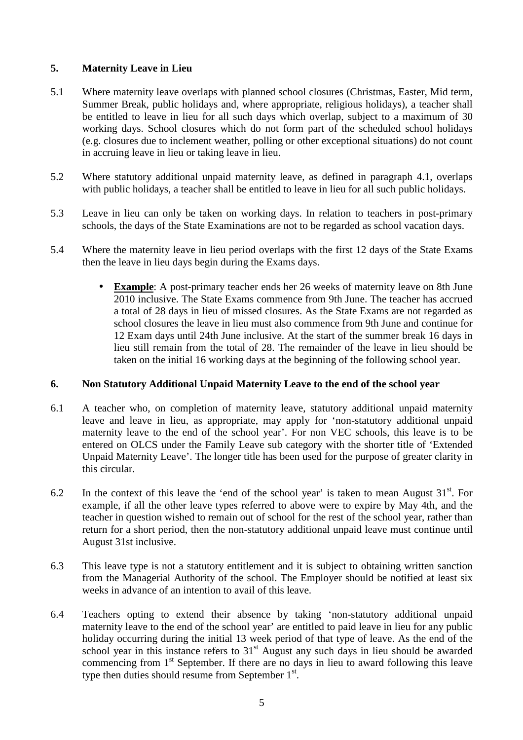# **5. Maternity Leave in Lieu**

- 5.1 Where maternity leave overlaps with planned school closures (Christmas, Easter, Mid term, Summer Break, public holidays and, where appropriate, religious holidays), a teacher shall be entitled to leave in lieu for all such days which overlap, subject to a maximum of 30 working days. School closures which do not form part of the scheduled school holidays (e.g. closures due to inclement weather, polling or other exceptional situations) do not count in accruing leave in lieu or taking leave in lieu.
- 5.2 Where statutory additional unpaid maternity leave, as defined in paragraph 4.1, overlaps with public holidays, a teacher shall be entitled to leave in lieu for all such public holidays.
- 5.3 Leave in lieu can only be taken on working days. In relation to teachers in post-primary schools, the days of the State Examinations are not to be regarded as school vacation days.
- 5.4 Where the maternity leave in lieu period overlaps with the first 12 days of the State Exams then the leave in lieu days begin during the Exams days.
	- **Example**: A post-primary teacher ends her 26 weeks of maternity leave on 8th June 2010 inclusive. The State Exams commence from 9th June. The teacher has accrued a total of 28 days in lieu of missed closures. As the State Exams are not regarded as school closures the leave in lieu must also commence from 9th June and continue for 12 Exam days until 24th June inclusive. At the start of the summer break 16 days in lieu still remain from the total of 28. The remainder of the leave in lieu should be taken on the initial 16 working days at the beginning of the following school year.

## **6. Non Statutory Additional Unpaid Maternity Leave to the end of the school year**

- 6.1 A teacher who, on completion of maternity leave, statutory additional unpaid maternity leave and leave in lieu, as appropriate, may apply for 'non-statutory additional unpaid maternity leave to the end of the school year'. For non VEC schools, this leave is to be entered on OLCS under the Family Leave sub category with the shorter title of 'Extended Unpaid Maternity Leave'. The longer title has been used for the purpose of greater clarity in this circular.
- 6.2 In the context of this leave the 'end of the school year' is taken to mean August  $31<sup>st</sup>$ . For example, if all the other leave types referred to above were to expire by May 4th, and the teacher in question wished to remain out of school for the rest of the school year, rather than return for a short period, then the non-statutory additional unpaid leave must continue until August 31st inclusive.
- 6.3 This leave type is not a statutory entitlement and it is subject to obtaining written sanction from the Managerial Authority of the school. The Employer should be notified at least six weeks in advance of an intention to avail of this leave.
- 6.4 Teachers opting to extend their absence by taking 'non-statutory additional unpaid maternity leave to the end of the school year' are entitled to paid leave in lieu for any public holiday occurring during the initial 13 week period of that type of leave. As the end of the school year in this instance refers to  $31<sup>st</sup>$  August any such days in lieu should be awarded commencing from 1<sup>st</sup> September. If there are no days in lieu to award following this leave type then duties should resume from September 1<sup>st</sup>.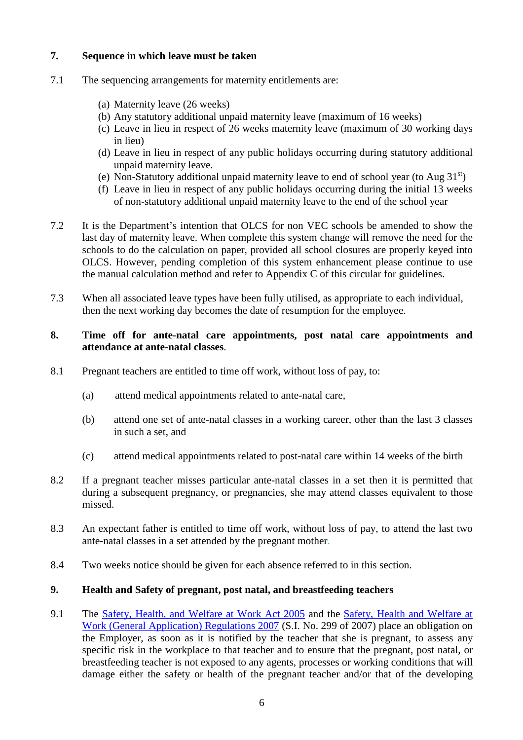# **7. Sequence in which leave must be taken**

- 7.1 The sequencing arrangements for maternity entitlements are:
	- (a) Maternity leave (26 weeks)
	- (b) Any statutory additional unpaid maternity leave (maximum of 16 weeks)
	- (c) Leave in lieu in respect of 26 weeks maternity leave (maximum of 30 working days in lieu)
	- (d) Leave in lieu in respect of any public holidays occurring during statutory additional unpaid maternity leave.
	- (e) Non-Statutory additional unpaid maternity leave to end of school year (to Aug  $31<sup>st</sup>$ )
	- (f) Leave in lieu in respect of any public holidays occurring during the initial 13 weeks of non-statutory additional unpaid maternity leave to the end of the school year
- 7.2 It is the Department's intention that OLCS for non VEC schools be amended to show the last day of maternity leave. When complete this system change will remove the need for the schools to do the calculation on paper, provided all school closures are properly keyed into OLCS. However, pending completion of this system enhancement please continue to use the manual calculation method and refer to Appendix C of this circular for guidelines.
- 7.3 When all associated leave types have been fully utilised, as appropriate to each individual, then the next working day becomes the date of resumption for the employee.

#### **8. Time off for ante-natal care appointments, post natal care appointments and attendance at ante-natal classes**.

- 8.1 Pregnant teachers are entitled to time off work, without loss of pay, to:
	- (a) attend medical appointments related to ante-natal care,
	- (b) attend one set of ante-natal classes in a working career, other than the last 3 classes in such a set, and
	- (c) attend medical appointments related to post-natal care within 14 weeks of the birth
- 8.2 If a pregnant teacher misses particular ante-natal classes in a set then it is permitted that during a subsequent pregnancy, or pregnancies, she may attend classes equivalent to those missed.
- 8.3 An expectant father is entitled to time off work, without loss of pay, to attend the last two ante-natal classes in a set attended by the pregnant mother.
- 8.4 Two weeks notice should be given for each absence referred to in this section.

## **9. Health and Safety of pregnant, post natal, and breastfeeding teachers**

9.1 The Safety, Health, and Welfare at Work Act 2005 and the Safety, Health and Welfare at Work (General Application) Regulations 2007 (S.I. No. 299 of 2007) place an obligation on the Employer, as soon as it is notified by the teacher that she is pregnant, to assess any specific risk in the workplace to that teacher and to ensure that the pregnant, post natal, or breastfeeding teacher is not exposed to any agents, processes or working conditions that will damage either the safety or health of the pregnant teacher and/or that of the developing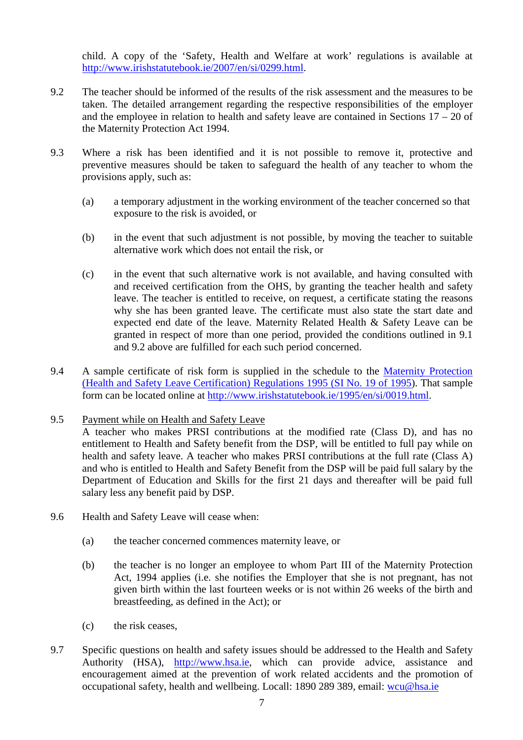child. A copy of the 'Safety, Health and Welfare at work' regulations is available at http://www.irishstatutebook.ie/2007/en/si/0299.html.

- 9.2 The teacher should be informed of the results of the risk assessment and the measures to be taken. The detailed arrangement regarding the respective responsibilities of the employer and the employee in relation to health and safety leave are contained in Sections  $17 - 20$  of the Maternity Protection Act 1994.
- 9.3 Where a risk has been identified and it is not possible to remove it, protective and preventive measures should be taken to safeguard the health of any teacher to whom the provisions apply, such as:
	- (a) a temporary adjustment in the working environment of the teacher concerned so that exposure to the risk is avoided, or
	- (b) in the event that such adjustment is not possible, by moving the teacher to suitable alternative work which does not entail the risk, or
	- (c) in the event that such alternative work is not available, and having consulted with and received certification from the OHS, by granting the teacher health and safety leave. The teacher is entitled to receive, on request, a certificate stating the reasons why she has been granted leave. The certificate must also state the start date and expected end date of the leave. Maternity Related Health & Safety Leave can be granted in respect of more than one period, provided the conditions outlined in 9.1 and 9.2 above are fulfilled for each such period concerned.
- 9.4 A sample certificate of risk form is supplied in the schedule to the Maternity Protection (Health and Safety Leave Certification) Regulations 1995 (SI No. 19 of 1995). That sample form can be located online at http://www.irishstatutebook.ie/1995/en/si/0019.html.

## 9.5 Payment while on Health and Safety Leave

 A teacher who makes PRSI contributions at the modified rate (Class D), and has no entitlement to Health and Safety benefit from the DSP, will be entitled to full pay while on health and safety leave. A teacher who makes PRSI contributions at the full rate (Class A) and who is entitled to Health and Safety Benefit from the DSP will be paid full salary by the Department of Education and Skills for the first 21 days and thereafter will be paid full salary less any benefit paid by DSP.

- 9.6 Health and Safety Leave will cease when:
	- (a) the teacher concerned commences maternity leave, or
	- (b) the teacher is no longer an employee to whom Part III of the Maternity Protection Act, 1994 applies (i.e. she notifies the Employer that she is not pregnant, has not given birth within the last fourteen weeks or is not within 26 weeks of the birth and breastfeeding, as defined in the Act); or
	- (c) the risk ceases,
- 9.7 Specific questions on health and safety issues should be addressed to the Health and Safety Authority (HSA), http://www.hsa.ie, which can provide advice, assistance and encouragement aimed at the prevention of work related accidents and the promotion of occupational safety, health and wellbeing. Locall: 1890 289 389, email: wcu@hsa.ie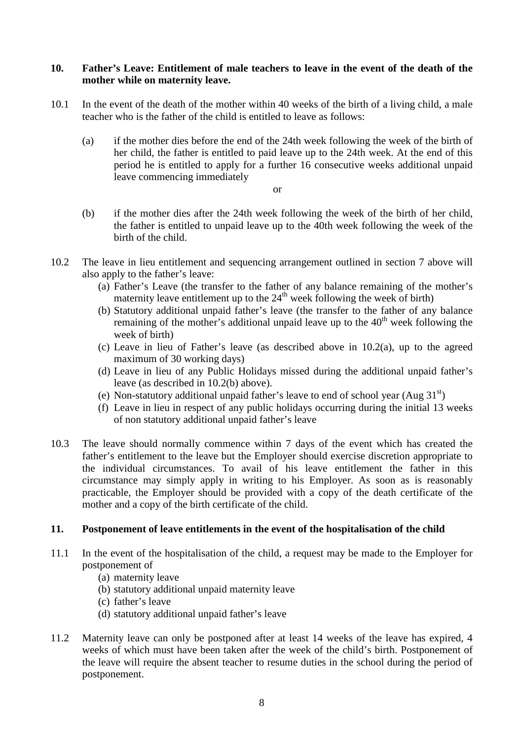#### **10. Father's Leave: Entitlement of male teachers to leave in the event of the death of the mother while on maternity leave.**

- 10.1 In the event of the death of the mother within 40 weeks of the birth of a living child, a male teacher who is the father of the child is entitled to leave as follows:
	- (a) if the mother dies before the end of the 24th week following the week of the birth of her child, the father is entitled to paid leave up to the 24th week. At the end of this period he is entitled to apply for a further 16 consecutive weeks additional unpaid leave commencing immediately
		- or
	- (b) if the mother dies after the 24th week following the week of the birth of her child, the father is entitled to unpaid leave up to the 40th week following the week of the birth of the child.
- 10.2 The leave in lieu entitlement and sequencing arrangement outlined in section 7 above will also apply to the father's leave:
	- (a) Father's Leave (the transfer to the father of any balance remaining of the mother's maternity leave entitlement up to the  $24<sup>th</sup>$  week following the week of birth)
	- (b) Statutory additional unpaid father's leave (the transfer to the father of any balance remaining of the mother's additional unpaid leave up to the  $40<sup>th</sup>$  week following the week of birth)
	- (c) Leave in lieu of Father's leave (as described above in 10.2(a), up to the agreed maximum of 30 working days)
	- (d) Leave in lieu of any Public Holidays missed during the additional unpaid father's leave (as described in 10.2(b) above).
	- (e) Non-statutory additional unpaid father's leave to end of school year  $(Aug 31<sup>st</sup>)$
	- (f) Leave in lieu in respect of any public holidays occurring during the initial 13 weeks of non statutory additional unpaid father's leave
- 10.3 The leave should normally commence within 7 days of the event which has created the father's entitlement to the leave but the Employer should exercise discretion appropriate to the individual circumstances. To avail of his leave entitlement the father in this circumstance may simply apply in writing to his Employer. As soon as is reasonably practicable, the Employer should be provided with a copy of the death certificate of the mother and a copy of the birth certificate of the child.

# **11. Postponement of leave entitlements in the event of the hospitalisation of the child**

- 11.1 In the event of the hospitalisation of the child, a request may be made to the Employer for postponement of
	- (a) maternity leave
	- (b) statutory additional unpaid maternity leave
	- (c) father's leave
	- (d) statutory additional unpaid father's leave
- 11.2 Maternity leave can only be postponed after at least 14 weeks of the leave has expired, 4 weeks of which must have been taken after the week of the child's birth. Postponement of the leave will require the absent teacher to resume duties in the school during the period of postponement.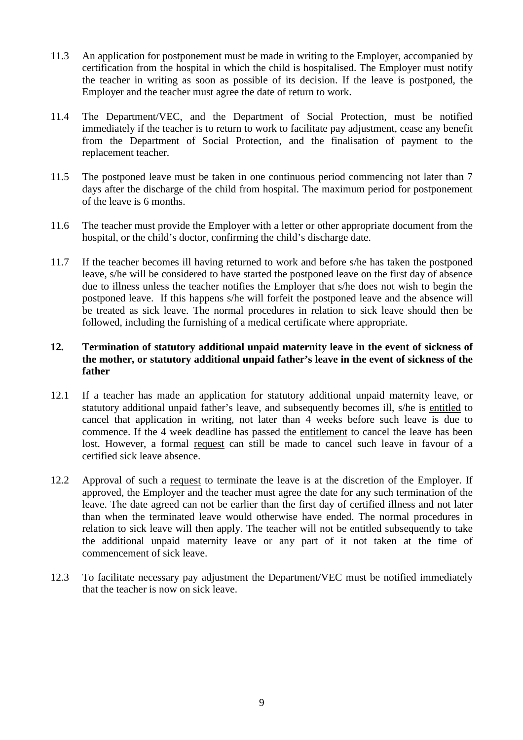- 11.3 An application for postponement must be made in writing to the Employer, accompanied by certification from the hospital in which the child is hospitalised. The Employer must notify the teacher in writing as soon as possible of its decision. If the leave is postponed, the Employer and the teacher must agree the date of return to work.
- 11.4 The Department/VEC, and the Department of Social Protection, must be notified immediately if the teacher is to return to work to facilitate pay adjustment, cease any benefit from the Department of Social Protection, and the finalisation of payment to the replacement teacher.
- 11.5 The postponed leave must be taken in one continuous period commencing not later than 7 days after the discharge of the child from hospital. The maximum period for postponement of the leave is 6 months.
- 11.6 The teacher must provide the Employer with a letter or other appropriate document from the hospital, or the child's doctor, confirming the child's discharge date.
- 11.7 If the teacher becomes ill having returned to work and before s/he has taken the postponed leave, s/he will be considered to have started the postponed leave on the first day of absence due to illness unless the teacher notifies the Employer that s/he does not wish to begin the postponed leave. If this happens s/he will forfeit the postponed leave and the absence will be treated as sick leave. The normal procedures in relation to sick leave should then be followed, including the furnishing of a medical certificate where appropriate.

## **12. Termination of statutory additional unpaid maternity leave in the event of sickness of the mother, or statutory additional unpaid father's leave in the event of sickness of the father**

- 12.1 If a teacher has made an application for statutory additional unpaid maternity leave, or statutory additional unpaid father's leave, and subsequently becomes ill, s/he is entitled to cancel that application in writing, not later than 4 weeks before such leave is due to commence. If the 4 week deadline has passed the entitlement to cancel the leave has been lost. However, a formal request can still be made to cancel such leave in favour of a certified sick leave absence.
- 12.2 Approval of such a request to terminate the leave is at the discretion of the Employer. If approved, the Employer and the teacher must agree the date for any such termination of the leave. The date agreed can not be earlier than the first day of certified illness and not later than when the terminated leave would otherwise have ended. The normal procedures in relation to sick leave will then apply. The teacher will not be entitled subsequently to take the additional unpaid maternity leave or any part of it not taken at the time of commencement of sick leave.
- 12.3 To facilitate necessary pay adjustment the Department/VEC must be notified immediately that the teacher is now on sick leave.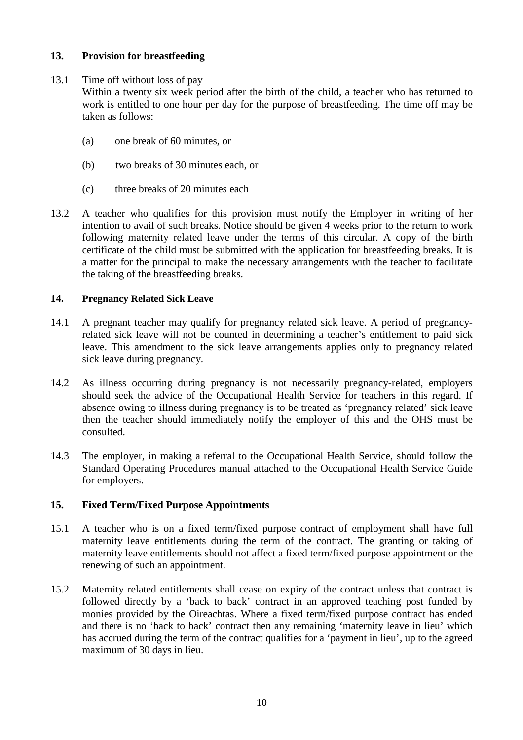## **13. Provision for breastfeeding**

## 13.1 Time off without loss of pay

Within a twenty six week period after the birth of the child, a teacher who has returned to work is entitled to one hour per day for the purpose of breastfeeding. The time off may be taken as follows:

- (a) one break of 60 minutes, or
- (b) two breaks of 30 minutes each, or
- (c) three breaks of 20 minutes each
- 13.2 A teacher who qualifies for this provision must notify the Employer in writing of her intention to avail of such breaks. Notice should be given 4 weeks prior to the return to work following maternity related leave under the terms of this circular. A copy of the birth certificate of the child must be submitted with the application for breastfeeding breaks. It is a matter for the principal to make the necessary arrangements with the teacher to facilitate the taking of the breastfeeding breaks.

## **14. Pregnancy Related Sick Leave**

- 14.1 A pregnant teacher may qualify for pregnancy related sick leave. A period of pregnancyrelated sick leave will not be counted in determining a teacher's entitlement to paid sick leave. This amendment to the sick leave arrangements applies only to pregnancy related sick leave during pregnancy.
- 14.2 As illness occurring during pregnancy is not necessarily pregnancy-related, employers should seek the advice of the Occupational Health Service for teachers in this regard. If absence owing to illness during pregnancy is to be treated as 'pregnancy related' sick leave then the teacher should immediately notify the employer of this and the OHS must be consulted.
- 14.3 The employer, in making a referral to the Occupational Health Service, should follow the Standard Operating Procedures manual attached to the Occupational Health Service Guide for employers.

## **15. Fixed Term/Fixed Purpose Appointments**

- 15.1 A teacher who is on a fixed term/fixed purpose contract of employment shall have full maternity leave entitlements during the term of the contract. The granting or taking of maternity leave entitlements should not affect a fixed term/fixed purpose appointment or the renewing of such an appointment.
- 15.2 Maternity related entitlements shall cease on expiry of the contract unless that contract is followed directly by a 'back to back' contract in an approved teaching post funded by monies provided by the Oireachtas. Where a fixed term/fixed purpose contract has ended and there is no 'back to back' contract then any remaining 'maternity leave in lieu' which has accrued during the term of the contract qualifies for a 'payment in lieu', up to the agreed maximum of 30 days in lieu.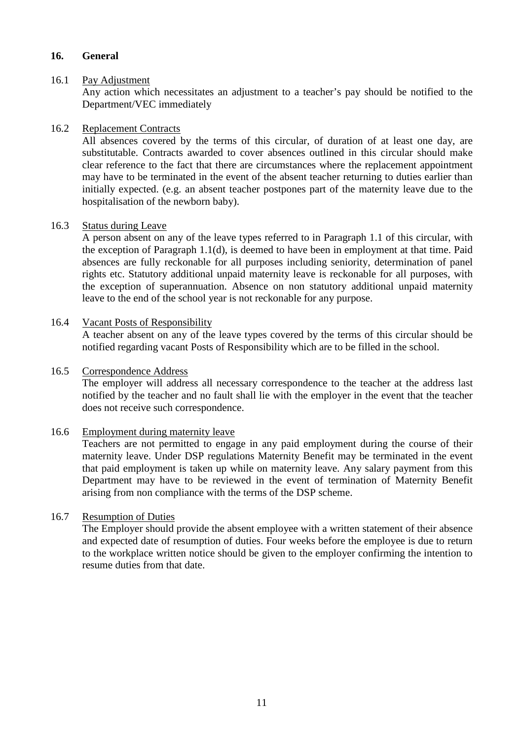#### **16. General**

#### 16.1 Pay Adjustment

Any action which necessitates an adjustment to a teacher's pay should be notified to the Department/VEC immediately

#### 16.2 Replacement Contracts

All absences covered by the terms of this circular, of duration of at least one day, are substitutable. Contracts awarded to cover absences outlined in this circular should make clear reference to the fact that there are circumstances where the replacement appointment may have to be terminated in the event of the absent teacher returning to duties earlier than initially expected. (e.g. an absent teacher postpones part of the maternity leave due to the hospitalisation of the newborn baby).

#### 16.3 Status during Leave

A person absent on any of the leave types referred to in Paragraph 1.1 of this circular, with the exception of Paragraph 1.1(d), is deemed to have been in employment at that time. Paid absences are fully reckonable for all purposes including seniority, determination of panel rights etc. Statutory additional unpaid maternity leave is reckonable for all purposes, with the exception of superannuation. Absence on non statutory additional unpaid maternity leave to the end of the school year is not reckonable for any purpose.

#### 16.4 Vacant Posts of Responsibility

A teacher absent on any of the leave types covered by the terms of this circular should be notified regarding vacant Posts of Responsibility which are to be filled in the school.

#### 16.5 Correspondence Address

The employer will address all necessary correspondence to the teacher at the address last notified by the teacher and no fault shall lie with the employer in the event that the teacher does not receive such correspondence.

#### 16.6 Employment during maternity leave

Teachers are not permitted to engage in any paid employment during the course of their maternity leave. Under DSP regulations Maternity Benefit may be terminated in the event that paid employment is taken up while on maternity leave. Any salary payment from this Department may have to be reviewed in the event of termination of Maternity Benefit arising from non compliance with the terms of the DSP scheme.

#### 16.7 Resumption of Duties

 The Employer should provide the absent employee with a written statement of their absence and expected date of resumption of duties. Four weeks before the employee is due to return to the workplace written notice should be given to the employer confirming the intention to resume duties from that date.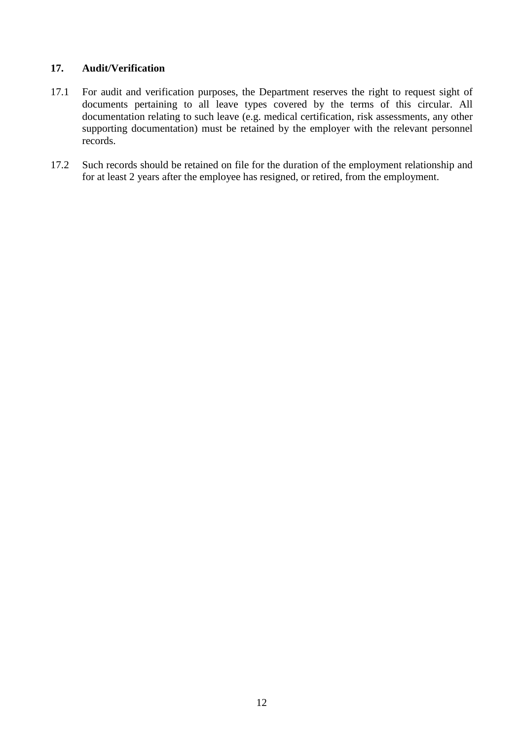# **17. Audit/Verification**

- 17.1 For audit and verification purposes, the Department reserves the right to request sight of documents pertaining to all leave types covered by the terms of this circular. All documentation relating to such leave (e.g. medical certification, risk assessments, any other supporting documentation) must be retained by the employer with the relevant personnel records.
- 17.2 Such records should be retained on file for the duration of the employment relationship and for at least 2 years after the employee has resigned, or retired, from the employment.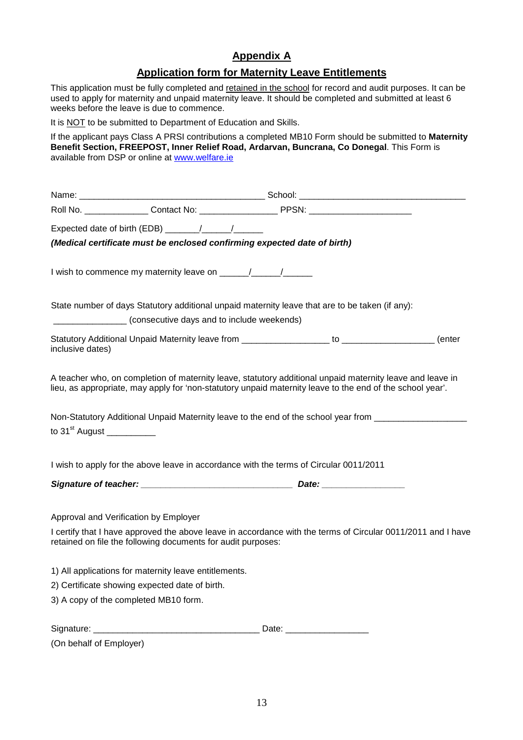# **Appendix A**

# **Application form for Maternity Leave Entitlements**

This application must be fully completed and retained in the school for record and audit purposes. It can be used to apply for maternity and unpaid maternity leave. It should be completed and submitted at least 6 weeks before the leave is due to commence.

It is NOT to be submitted to Department of Education and Skills.

If the applicant pays Class A PRSI contributions a completed MB10 Form should be submitted to **Maternity Benefit Section, FREEPOST, Inner Relief Road, Ardarvan, Buncrana, Co Donegal**. This Form is available from DSP or online at www.welfare.ie

|                            | Expected date of birth (EDB) _______/________/                                                                                                                                                                         |  |  |
|----------------------------|------------------------------------------------------------------------------------------------------------------------------------------------------------------------------------------------------------------------|--|--|
|                            | (Medical certificate must be enclosed confirming expected date of birth)                                                                                                                                               |  |  |
|                            |                                                                                                                                                                                                                        |  |  |
|                            | State number of days Statutory additional unpaid maternity leave that are to be taken (if any):<br>____________________(consecutive days and to include weekends)                                                      |  |  |
| inclusive dates)           |                                                                                                                                                                                                                        |  |  |
|                            | A teacher who, on completion of maternity leave, statutory additional unpaid maternity leave and leave in<br>lieu, as appropriate, may apply for 'non-statutory unpaid maternity leave to the end of the school year'. |  |  |
| to 31 <sup>st</sup> August | Non-Statutory Additional Unpaid Maternity leave to the end of the school year from ________________                                                                                                                    |  |  |
|                            | I wish to apply for the above leave in accordance with the terms of Circular 0011/2011                                                                                                                                 |  |  |
|                            |                                                                                                                                                                                                                        |  |  |
|                            | Approval and Verification by Employer                                                                                                                                                                                  |  |  |
|                            | I certify that I have approved the above leave in accordance with the terms of Circular 0011/2011 and I have<br>retained on file the following documents for audit purposes:                                           |  |  |
|                            | 1) All applications for maternity leave entitlements.                                                                                                                                                                  |  |  |
|                            | 2) Certificate showing expected date of birth.                                                                                                                                                                         |  |  |
|                            | 3) A copy of the completed MB10 form.                                                                                                                                                                                  |  |  |
|                            |                                                                                                                                                                                                                        |  |  |
| (On behalf of Employer)    |                                                                                                                                                                                                                        |  |  |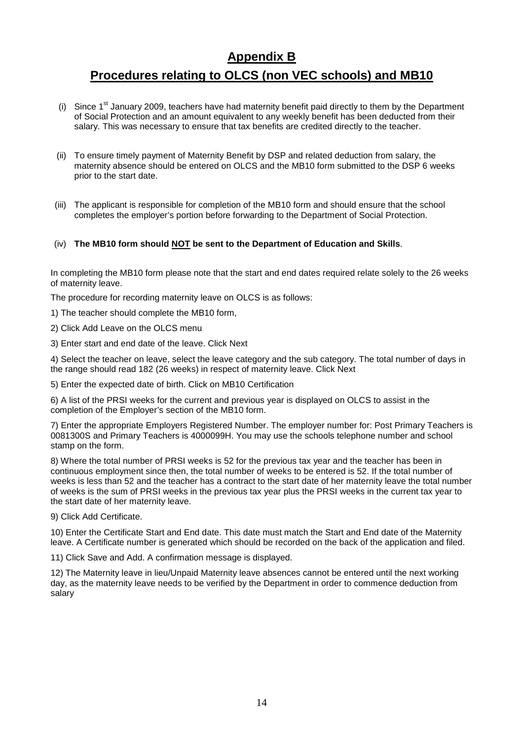# **Appendix B Procedures relating to OLCS (non VEC schools) and MB10**

- (i) Since  $1<sup>st</sup>$  January 2009, teachers have had maternity benefit paid directly to them by the Department of Social Protection and an amount equivalent to any weekly benefit has been deducted from their salary. This was necessary to ensure that tax benefits are credited directly to the teacher.
- (ii) To ensure timely payment of Maternity Benefit by DSP and related deduction from salary, the maternity absence should be entered on OLCS and the MB10 form submitted to the DSP 6 weeks prior to the start date.
- (iii) The applicant is responsible for completion of the MB10 form and should ensure that the school completes the employer's portion before forwarding to the Department of Social Protection.

#### (iv) **The MB10 form should NOT be sent to the Department of Education and Skills**.

In completing the MB10 form please note that the start and end dates required relate solely to the 26 weeks of maternity leave.

The procedure for recording maternity leave on OLCS is as follows:

1) The teacher should complete the MB10 form,

2) Click Add Leave on the OLCS menu

3) Enter start and end date of the leave. Click Next

4) Select the teacher on leave, select the leave category and the sub category. The total number of days in the range should read 182 (26 weeks) in respect of maternity leave. Click Next

5) Enter the expected date of birth. Click on MB10 Certification

6) A list of the PRSI weeks for the current and previous year is displayed on OLCS to assist in the completion of the Employer's section of the MB10 form.

7) Enter the appropriate Employers Registered Number. The employer number for: Post Primary Teachers is 0081300S and Primary Teachers is 4000099H. You may use the schools telephone number and school stamp on the form.

8) Where the total number of PRSI weeks is 52 for the previous tax year and the teacher has been in continuous employment since then, the total number of weeks to be entered is 52. If the total number of weeks is less than 52 and the teacher has a contract to the start date of her maternity leave the total number of weeks is the sum of PRSI weeks in the previous tax year plus the PRSI weeks in the current tax year to the start date of her maternity leave.

9) Click Add Certificate.

10) Enter the Certificate Start and End date. This date must match the Start and End date of the Maternity leave. A Certificate number is generated which should be recorded on the back of the application and filed.

11) Click Save and Add. A confirmation message is displayed.

12) The Maternity leave in lieu/Unpaid Maternity leave absences cannot be entered until the next working day, as the maternity leave needs to be verified by the Department in order to commence deduction from salary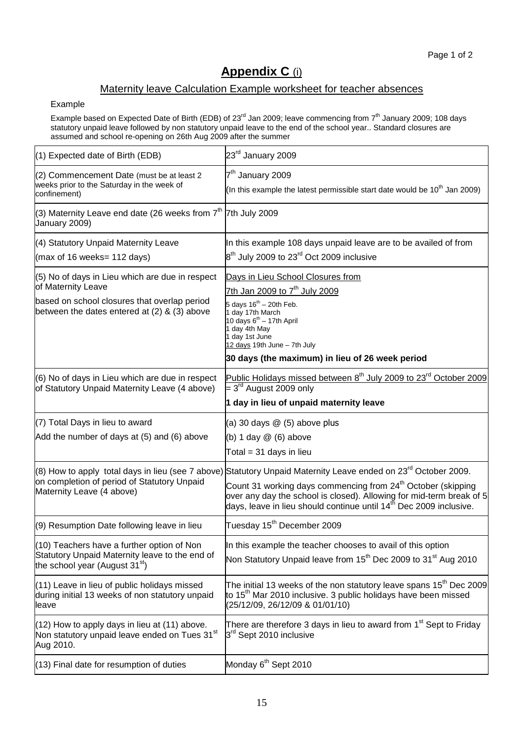# **Appendix C** (i)

# Maternity leave Calculation Example worksheet for teacher absences

#### Example

Example based on Expected Date of Birth (EDB) of 23<sup>rd</sup> Jan 2009; leave commencing from 7<sup>th</sup> January 2009; 108 days statutory unpaid leave followed by non statutory unpaid leave to the end of the school year.. Standard closures are assumed and school re-opening on 26th Aug 2009 after the summer

| $(1)$ Expected date of Birth (EDB)                                                                                          | 23rd January 2009                                                                                                                                                                                                               |  |  |
|-----------------------------------------------------------------------------------------------------------------------------|---------------------------------------------------------------------------------------------------------------------------------------------------------------------------------------------------------------------------------|--|--|
| (2) Commencement Date (must be at least 2<br>weeks prior to the Saturday in the week of                                     | 7 <sup>th</sup> January 2009                                                                                                                                                                                                    |  |  |
| confinement)                                                                                                                | (In this example the latest permissible start date would be $10^{th}$ Jan 2009)                                                                                                                                                 |  |  |
| (3) Maternity Leave end date (26 weeks from $7th$ 7th July 2009<br>January 2009)                                            |                                                                                                                                                                                                                                 |  |  |
| (4) Statutory Unpaid Maternity Leave                                                                                        | In this example 108 days unpaid leave are to be availed of from                                                                                                                                                                 |  |  |
| (max of 16 weeks= $112$ days)                                                                                               | $8th$ July 2009 to 23 <sup>rd</sup> Oct 2009 inclusive                                                                                                                                                                          |  |  |
| (5) No of days in Lieu which are due in respect<br>of Maternity Leave                                                       | Days in Lieu School Closures from                                                                                                                                                                                               |  |  |
| based on school closures that overlap period<br>between the dates entered at $(2)$ & $(3)$ above                            | 7th Jan 2009 to 7 <sup>th</sup> July 2009<br>5 days $16^{th}$ - 20th Feb.<br>1 day 17th March<br>10 days $6^{th}$ - 17th April<br>1 day 4th May<br>1 day 1st June<br>12 days 19th June - 7th July                               |  |  |
|                                                                                                                             | 30 days (the maximum) in lieu of 26 week period                                                                                                                                                                                 |  |  |
| (6) No of days in Lieu which are due in respect<br>of Statutory Unpaid Maternity Leave (4 above)                            | Public Holidays missed between 8 <sup>th</sup> July 2009 to 23 <sup>rd</sup> October 2009<br>$=3^{\text{rd}}$ August 2009 only                                                                                                  |  |  |
|                                                                                                                             | 1 day in lieu of unpaid maternity leave                                                                                                                                                                                         |  |  |
| (7) Total Days in lieu to award                                                                                             | (a) 30 days $@$ (5) above plus                                                                                                                                                                                                  |  |  |
| Add the number of days at (5) and (6) above                                                                                 | (b) $1$ day $@$ (6) above                                                                                                                                                                                                       |  |  |
|                                                                                                                             | Total = 31 days in lieu                                                                                                                                                                                                         |  |  |
|                                                                                                                             | (8) How to apply total days in lieu (see 7 above) Statutory Unpaid Maternity Leave ended on 23 <sup>rd</sup> October 2009.                                                                                                      |  |  |
| on completion of period of Statutory Unpaid<br>Maternity Leave (4 above)                                                    | Count 31 working days commencing from 24 <sup>th</sup> October (skipping<br>over any day the school is closed). Allowing for mid-term break of 5 days, leave in lieu should continue until $14^{\text{th}}$ Dec 2009 inclusive. |  |  |
| (9) Resumption Date following leave in lieu                                                                                 | Tuesday 15 <sup>th</sup> December 2009                                                                                                                                                                                          |  |  |
| (10) Teachers have a further option of Non                                                                                  | In this example the teacher chooses to avail of this option                                                                                                                                                                     |  |  |
| Statutory Unpaid Maternity leave to the end of<br>the school year (August $31st$ )                                          | Non Statutory Unpaid leave from 15 <sup>th</sup> Dec 2009 to 31 <sup>st</sup> Aug 2010                                                                                                                                          |  |  |
| (11) Leave in lieu of public holidays missed<br>during initial 13 weeks of non statutory unpaid<br>lleave                   | The initial 13 weeks of the non statutory leave spans 15 <sup>th</sup> Dec 2009<br>to 15 <sup>th</sup> Mar 2010 inclusive. 3 public holidays have been missed<br>(25/12/09, 26/12/09 & 01/01/10)                                |  |  |
| $(12)$ How to apply days in lieu at $(11)$ above.<br>Non statutory unpaid leave ended on Tues 31 <sup>st</sup><br>Aug 2010. | There are therefore 3 days in lieu to award from 1 <sup>st</sup> Sept to Friday<br>3 <sup>rd</sup> Sept 2010 inclusive                                                                                                          |  |  |
| (13) Final date for resumption of duties                                                                                    | Monday 6 <sup>th</sup> Sept 2010                                                                                                                                                                                                |  |  |